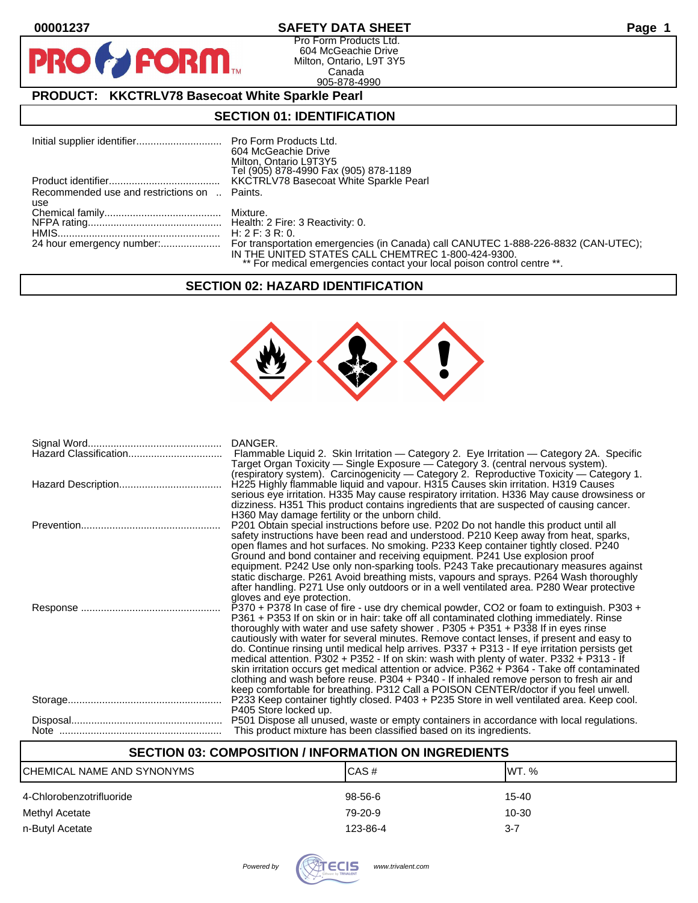$\bullet$ 

PF

# **00001237 SAFETY DATA SHEET Page 1**

Pro Form Products Ltd. 604 McGeachie Drive Milton, Ontario, L9T 3Y5 Canada 905-878-4990

# **PRODUCT: KKCTRLV78 Basecoat White Sparkle Pearl**

FORM.

# **SECTION 01: IDENTIFICATION**

## **SECTION 02: HAZARD IDENTIFICATION**



| Hazard Classification | DANGER.<br>Flammable Liquid 2. Skin Irritation — Category 2. Eye Irritation — Category 2A. Specific<br>Target Organ Toxicity — Single Exposure — Category 3. (central nervous system).<br>(respiratory system). Carcinogenicity - Category 2. Reproductive Toxicity - Category 1.                                                                                                                                                                                                                                                                                                                                                                                                                                                                                                                                                                                                    |
|-----------------------|--------------------------------------------------------------------------------------------------------------------------------------------------------------------------------------------------------------------------------------------------------------------------------------------------------------------------------------------------------------------------------------------------------------------------------------------------------------------------------------------------------------------------------------------------------------------------------------------------------------------------------------------------------------------------------------------------------------------------------------------------------------------------------------------------------------------------------------------------------------------------------------|
|                       | H225 Highly flammable liquid and vapour. H315 Causes skin irritation. H319 Causes<br>serious eye irritation. H335 May cause respiratory irritation. H336 May cause drowsiness or<br>dizziness. H351 This product contains ingredients that are suspected of causing cancer.<br>H360 May damage fertility or the unborn child.                                                                                                                                                                                                                                                                                                                                                                                                                                                                                                                                                        |
|                       | P201 Obtain special instructions before use. P202 Do not handle this product until all<br>safety instructions have been read and understood. P210 Keep away from heat, sparks,<br>open flames and hot surfaces. No smoking. P233 Keep container tightly closed. P240<br>Ground and bond container and receiving equipment. P241 Use explosion proof<br>equipment. P242 Use only non-sparking tools. P243 Take precautionary measures against<br>static discharge. P261 Avoid breathing mists, vapours and sprays. P264 Wash thoroughly<br>after handling. P271 Use only outdoors or in a well ventilated area. P280 Wear protective                                                                                                                                                                                                                                                  |
|                       | gloves and eye protection.<br>P370 + P378 In case of fire - use dry chemical powder, CO2 or foam to extinguish. P303 +<br>P361 + P353 If on skin or in hair: take off all contaminated clothing immediately. Rinse<br>thoroughly with water and use safety shower . $P305 + P351 + P338$ If in eyes rinse<br>cautiously with water for several minutes. Remove contact lenses, if present and easy to<br>do. Continue rinsing until medical help arrives. P337 + P313 - If eye irritation persists get<br>medical attention. P302 + P352 - If on skin: wash with plenty of water. P332 + P313 - If<br>skin irritation occurs get medical attention or advice. P362 + P364 - Take off contaminated<br>clothing and wash before reuse. P304 + P340 - If inhaled remove person to fresh air and<br>keep comfortable for breathing. P312 Call a POISON CENTER/doctor if you feel unwell. |
|                       | P233 Keep container tightly closed. P403 + P235 Store in well ventilated area. Keep cool.<br>P405 Store locked up.                                                                                                                                                                                                                                                                                                                                                                                                                                                                                                                                                                                                                                                                                                                                                                   |
|                       | P501 Dispose all unused, waste or empty containers in accordance with local regulations.<br>This product mixture has been classified based on its ingredients.                                                                                                                                                                                                                                                                                                                                                                                                                                                                                                                                                                                                                                                                                                                       |

# **SECTION 03: COMPOSITION / INFORMATION ON INGREDIENTS**

| CHEMICAL NAME AND SYNONYMS | CAS#     | IWT. %  |
|----------------------------|----------|---------|
| 4-Chlorobenzotrifluoride   | 98-56-6  | 15-40   |
| Methyl Acetate             | 79-20-9  | 10-30   |
| n-Butyl Acetate            | 123-86-4 | $3 - 7$ |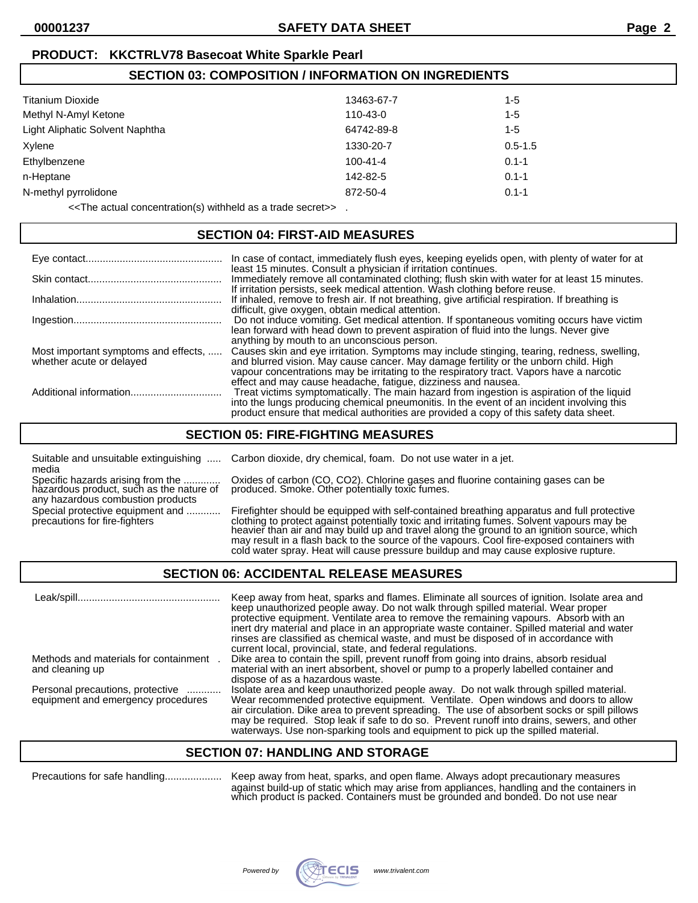**SECTION 03: COMPOSITION / INFORMATION ON INGREDIENTS**

# **PRODUCT: KKCTRLV78 Basecoat White Sparkle Pearl**

| SECTION 03: COMPOSITION / INFORMATION ON INGREDIENTS |                |             |  |
|------------------------------------------------------|----------------|-------------|--|
| Titanium Dioxide                                     | 13463-67-7     | 1-5         |  |
| Methyl N-Amyl Ketone                                 | 110-43-0       | 1-5         |  |
| Light Aliphatic Solvent Naphtha                      | 64742-89-8     | 1-5         |  |
| Xylene                                               | 1330-20-7      | $0.5 - 1.5$ |  |
| Ethylbenzene                                         | $100 - 41 - 4$ | $0.1 - 1$   |  |
| n-Heptane                                            | 142-82-5       | $0.1 - 1$   |  |
| N-methyl pyrrolidone                                 | 872-50-4       | $0.1 - 1$   |  |
|                                                      |                |             |  |

<<The actual concentration(s) withheld as a trade secret>> .

#### **SECTION 04: FIRST-AID MEASURES**

|                                                                  | In case of contact, immediately flush eyes, keeping eyelids open, with plenty of water for at                                                                                                                                                                                                                                                     |
|------------------------------------------------------------------|---------------------------------------------------------------------------------------------------------------------------------------------------------------------------------------------------------------------------------------------------------------------------------------------------------------------------------------------------|
|                                                                  | least 15 minutes. Consult a physician if irritation continues.<br>Immediately remove all contaminated clothing; flush skin with water for at least 15 minutes.<br>If irritation persists, seek medical attention. Wash clothing before reuse.                                                                                                     |
|                                                                  | If inhaled, remove to fresh air. If not breathing, give artificial respiration. If breathing is                                                                                                                                                                                                                                                   |
|                                                                  | difficult, give oxygen, obtain medical attention.<br>Do not induce vomiting. Get medical attention. If spontaneous vomiting occurs have victim<br>lean forward with head down to prevent aspiration of fluid into the lungs. Never give                                                                                                           |
| Most important symptoms and effects,<br>whether acute or delayed | anything by mouth to an unconscious person.<br>Causes skin and eye irritation. Symptoms may include stinging, tearing, redness, swelling,<br>and blurred vision. May cause cancer. May damage fertility or the unborn child. High<br>vapour concentrations may be irritating to the respiratory tract. Vapors have a narcotic                     |
|                                                                  | effect and may cause headache, fatigue, dizziness and nausea.<br>Treat victims symptomatically. The main hazard from ingestion is aspiration of the liquid<br>into the lungs producing chemical pneumonitis. In the event of an incident involving this<br>product ensure that medical authorities are provided a copy of this safety data sheet. |

### **SECTION 05: FIRE-FIGHTING MEASURES**

Suitable and unsuitable extinguishing ..... Carbon dioxide, dry chemical, foam. Do not use water in a jet. media<br>Specific hazards arising from the .............

any hazardous combustion products

Specific hazards arising from the .............. Oxides of carbon (CO, CO2). Chlorine gases and fluorine containing gases can be<br>hazardous product, such as the nature of produced. Smoke. Other potentially toxic fumes. produced. Smoke. Other potentially toxic fumes.

Special protective equipment and ............ Firefighter should be equipped with self-contained breathing apparatus and full protective<br>precautions for fire-fighters on the clothing to protect against potentially toxic an clothing to protect against potentially toxic and irritating fumes. Solvent vapours may be heavier than air and may build up and travel along the ground to an ignition source, which may result in a flash back to the source of the vapours. Cool fire-exposed containers with cold water spray. Heat will cause pressure buildup and may cause explosive rupture.

### **SECTION 06: ACCIDENTAL RELEASE MEASURES**

 Leak/spill.................................................. Keep away from heat, sparks and flames. Eliminate all sources of ignition. Isolate area and keep unauthorized people away. Do not walk through spilled material. Wear proper protective equipment. Ventilate area to remove the remaining vapours. Absorb with an inert dry material and place in an appropriate waste container. Spilled material and water rinses are classified as chemical waste, and must be disposed of in accordance with current local, provincial, state, and federal regulations. Methods and materials for containment . Dike area to contain the spill, prevent runoff from going into drains, absorb residual material with an inert absorbent, shovel or pump to a properly labelled container and dispose of as a hazardous waste. Personal precautions, protective ............ Isolate area and keep unauthorized people away. Do not walk through spilled material. equipment and emergency procedures Wear recommended protective equipment. Ventilate. Open windows and doors to allow air circulation. Dike area to prevent spreading. The use of absorbent socks or spill pillows may be required. Stop leak if safe to do so. Prevent runoff into drains, sewers, and other waterways. Use non-sparking tools and equipment to pick up the spilled material.

# **SECTION 07: HANDLING AND STORAGE**

Precautions for safe handling.................... Keep away from heat, sparks, and open flame. Always adopt precautionary measures against build-up of static which may arise from appliances, handling and the containers in which product is packed. Containers must be grounded and bonded. Do not use near

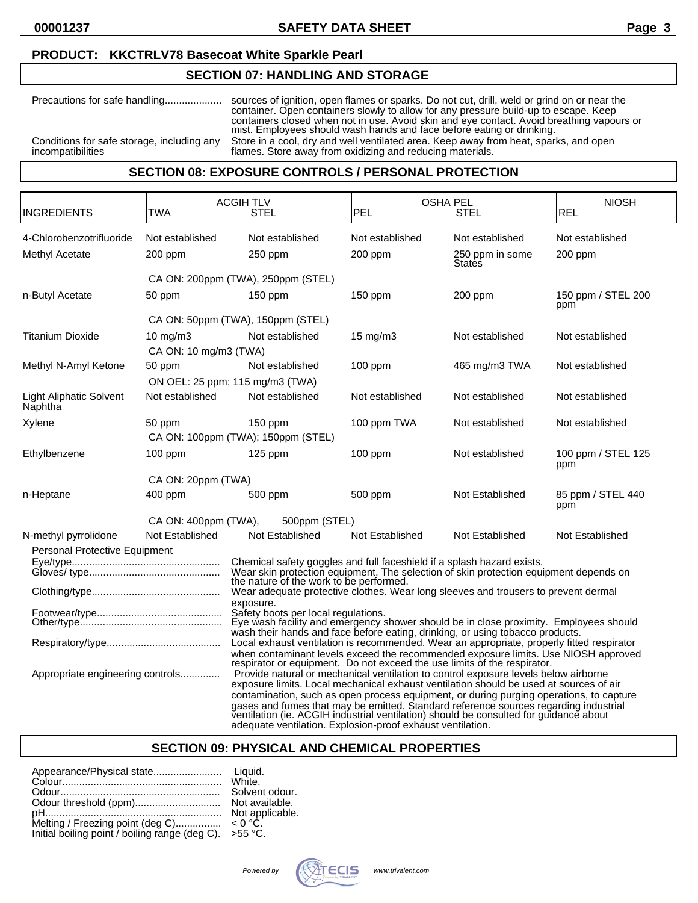# **PRODUCT: KKCTRLV78 Basecoat White Sparkle Pearl**

# **SECTION 07: HANDLING AND STORAGE**

| Precautions for safe handling              | sources of ignition, open flames or sparks. Do not cut, drill, weld or grind on or near the<br>container. Open containers slowly to allow for any pressure build-up to escape. Keep<br>containers closed when not in use. Avoid skin and eye contact. Avoid breathing vapours or<br>mist. Employees should wash hands and face before eating or drinking. |
|--------------------------------------------|-----------------------------------------------------------------------------------------------------------------------------------------------------------------------------------------------------------------------------------------------------------------------------------------------------------------------------------------------------------|
| Conditions for safe storage, including any | Store in a cool, dry and well ventilated area. Keep away from heat, sparks, and open                                                                                                                                                                                                                                                                      |
| incompatibilities                          | flames. Store away from oxidizing and reducing materials.                                                                                                                                                                                                                                                                                                 |

### **SECTION 08: EXPOSURE CONTROLS / PERSONAL PROTECTION**

| IINGREDIENTS                                                                                                                                                                                                                                                                                                                           | TWA                                        | <b>ACGIHTLV</b><br>STEL                                                                                                                                                                                                                                   | <b>OSHA PEL</b><br>PEL     | STEL                               | <b>NIOSH</b><br>REL        |
|----------------------------------------------------------------------------------------------------------------------------------------------------------------------------------------------------------------------------------------------------------------------------------------------------------------------------------------|--------------------------------------------|-----------------------------------------------------------------------------------------------------------------------------------------------------------------------------------------------------------------------------------------------------------|----------------------------|------------------------------------|----------------------------|
| 4-Chlorobenzotrifluoride<br>Methyl Acetate                                                                                                                                                                                                                                                                                             | Not established<br>200 ppm                 | Not established<br>250 ppm                                                                                                                                                                                                                                | Not established<br>200 ppm | Not established<br>250 ppm in some | Not established<br>200 ppm |
|                                                                                                                                                                                                                                                                                                                                        |                                            | CA ON: 200ppm (TWA), 250ppm (STEL)                                                                                                                                                                                                                        |                            | States                             |                            |
| n-Butyl Acetate                                                                                                                                                                                                                                                                                                                        | 50 ppm                                     | 150 ppm                                                                                                                                                                                                                                                   | 150 ppm                    | 200 ppm                            | 150 ppm / STEL 200<br>ppm  |
|                                                                                                                                                                                                                                                                                                                                        |                                            | CA ON: 50ppm (TWA), 150ppm (STEL)                                                                                                                                                                                                                         |                            |                                    |                            |
| <b>Titanium Dioxide</b>                                                                                                                                                                                                                                                                                                                | $10 \text{ mg/m}$<br>CA ON: 10 mg/m3 (TWA) | Not established                                                                                                                                                                                                                                           | 15 mg/m3                   | Not established                    | Not established            |
| Methyl N-Amyl Ketone                                                                                                                                                                                                                                                                                                                   | 50 ppm                                     | Not established                                                                                                                                                                                                                                           | $100$ ppm                  | 465 mg/m3 TWA                      | Not established            |
|                                                                                                                                                                                                                                                                                                                                        |                                            | ON OEL: 25 ppm; 115 mg/m3 (TWA)                                                                                                                                                                                                                           |                            |                                    |                            |
| <b>Light Aliphatic Solvent</b><br>Naphtha                                                                                                                                                                                                                                                                                              | Not established                            | Not established                                                                                                                                                                                                                                           | Not established            | Not established                    | Not established            |
| Xylene                                                                                                                                                                                                                                                                                                                                 | 50 ppm                                     | $150$ ppm                                                                                                                                                                                                                                                 | 100 ppm TWA                | Not established                    | Not established            |
|                                                                                                                                                                                                                                                                                                                                        |                                            | CA ON: 100ppm (TWA); 150ppm (STEL)                                                                                                                                                                                                                        |                            |                                    |                            |
| Ethylbenzene                                                                                                                                                                                                                                                                                                                           | $100$ ppm                                  | $125$ ppm                                                                                                                                                                                                                                                 | 100 ppm                    | Not established                    | 100 ppm / STEL 125<br>ppm  |
|                                                                                                                                                                                                                                                                                                                                        | CA ON: 20ppm (TWA)                         |                                                                                                                                                                                                                                                           |                            |                                    |                            |
| n-Heptane                                                                                                                                                                                                                                                                                                                              | 400 ppm                                    | 500 ppm                                                                                                                                                                                                                                                   | 500 ppm                    | Not Established                    | 85 ppm / STEL 440<br>ppm   |
|                                                                                                                                                                                                                                                                                                                                        | CA ON: 400ppm (TWA),                       | 500ppm (STEL)                                                                                                                                                                                                                                             |                            |                                    |                            |
| N-methyl pyrrolidone                                                                                                                                                                                                                                                                                                                   | Not Established                            | Not Established                                                                                                                                                                                                                                           | Not Established            | Not Established                    | Not Established            |
| Personal Protective Equipment                                                                                                                                                                                                                                                                                                          |                                            |                                                                                                                                                                                                                                                           |                            |                                    |                            |
| Chemical safety goggles and full faceshield if a splash hazard exists.<br>Wear skin protection equipment. The selection of skin protection equipment depends on<br>the nature of the work to be performed.                                                                                                                             |                                            |                                                                                                                                                                                                                                                           |                            |                                    |                            |
|                                                                                                                                                                                                                                                                                                                                        |                                            | Wear adequate protective clothes. Wear long sleeves and trousers to prevent dermal                                                                                                                                                                        |                            |                                    |                            |
| exposure.<br>Safety boots per local regulations.<br>Eye wash facility and emergency shower should be in close proximity. Employees should<br>wash their hands and face before eating, drinking, or using tobacco products.<br>Local exhaust ventilation is recommended. Wear an appropriate, properly fitted respirator                |                                            |                                                                                                                                                                                                                                                           |                            |                                    |                            |
|                                                                                                                                                                                                                                                                                                                                        |                                            | when contaminant levels exceed the recommended exposure limits. Use NIOSH approved                                                                                                                                                                        |                            |                                    |                            |
| Appropriate engineering controls                                                                                                                                                                                                                                                                                                       |                                            | respirator or equipment. Do not exceed the use limits of the respirator.<br>Provide natural or mechanical ventilation to control exposure levels below airborne<br>exposure limits. Local mechanical exhaust ventilation should be used at sources of air |                            |                                    |                            |
| contamination, such as open process equipment, or during purging operations, to capture<br>gases and fumes that may be emitted. Standard reference sources regarding industrial<br>ventilation (ie. ACGIH industrial ventilation) should be consulted for guidance about<br>adequate ventilation. Explosion-proof exhaust ventilation. |                                            |                                                                                                                                                                                                                                                           |                            |                                    |                            |

# **SECTION 09: PHYSICAL AND CHEMICAL PROPERTIES**

|                                                                                    | White.           |
|------------------------------------------------------------------------------------|------------------|
|                                                                                    | Solvent odour.   |
| Odour threshold (ppm)                                                              | Not available.   |
|                                                                                    | Not applicable.  |
|                                                                                    | $< 0 °C$ .       |
| Melting / Freezing point (deg C)<br>Initial boiling point / boiling range (deg C). | $>55^{\circ}$ C. |

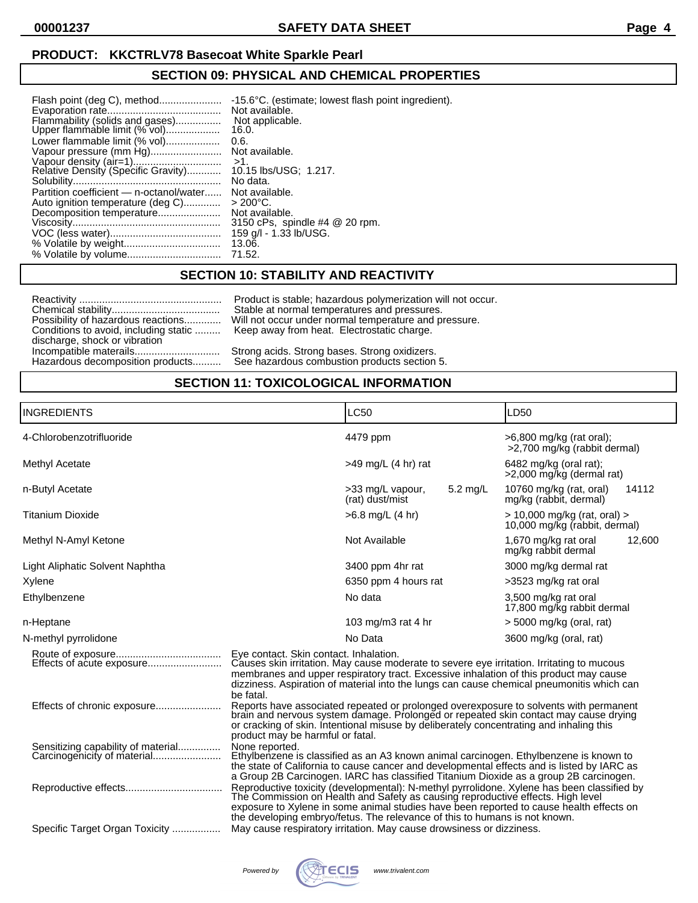**00001237 SAFETY DATA SHEET Page 4**

# **PRODUCT: KKCTRLV78 Basecoat White Sparkle Pearl**

# **SECTION 09: PHYSICAL AND CHEMICAL PROPERTIES**

| Flash point (deg C), method<br>Flammability (solids and gases)<br>Upper flammable limit (% vol)<br>Lower flammable limit (% vol) | -15.6°C. (estimate; lowest flash point ingredient).<br>Not available.<br>Not applicable.<br>16.0.<br>0.6. |
|----------------------------------------------------------------------------------------------------------------------------------|-----------------------------------------------------------------------------------------------------------|
| Vapour pressure (mm Hg)                                                                                                          | Not available.                                                                                            |
| Vapour density (air=1)<br>Relative Density (Specific Gravity)                                                                    | $>1$ .<br>10.15 lbs/USG; 1.217.<br>No data.                                                               |
| Partition coefficient — n-octanol/water                                                                                          | Not available.                                                                                            |
| Auto ignition temperature (deg C)                                                                                                | $>200^{\circ}$ C.                                                                                         |
| Decomposition temperature                                                                                                        | Not available.<br>3150 cPs, spindle #4 @ 20 rpm.                                                          |
|                                                                                                                                  | 159 g/l - 1.33 lb/USG.                                                                                    |
|                                                                                                                                  | 13.06.                                                                                                    |
|                                                                                                                                  | 71.52.                                                                                                    |

## **SECTION 10: STABILITY AND REACTIVITY**

| Possibility of hazardous reactions    |
|---------------------------------------|
| Conditions to avoid, including static |
| discharge, shock or vibration         |
| Incompatible materails                |
|                                       |
| Hazardous decomposition products      |

Reactivity .................................................. Product is stable; hazardous polymerization will not occur. Chemical stability...................................... Stable at normal temperatures and pressures. Possibility of hazardous reactions............. Will not occur under normal temperature and pressure. Keep away from heat. Electrostatic charge.

> Strong acids. Strong bases. Strong oxidizers. See hazardous combustion products section 5.

# **SECTION 11: TOXICOLOGICAL INFORMATION**

| <b>INGREDIENTS</b>                                                                                                                                                                                                                                                                                                                     |                                                                                                                                                                                                                                                                                                                                                        | LC50                                |          | LD50                                                          |        |
|----------------------------------------------------------------------------------------------------------------------------------------------------------------------------------------------------------------------------------------------------------------------------------------------------------------------------------------|--------------------------------------------------------------------------------------------------------------------------------------------------------------------------------------------------------------------------------------------------------------------------------------------------------------------------------------------------------|-------------------------------------|----------|---------------------------------------------------------------|--------|
| 4-Chlorobenzotrifluoride                                                                                                                                                                                                                                                                                                               |                                                                                                                                                                                                                                                                                                                                                        | 4479 ppm                            |          | >6,800 mg/kg (rat oral);<br>>2,700 mg/kg (rabbit dermal)      |        |
| Methyl Acetate                                                                                                                                                                                                                                                                                                                         |                                                                                                                                                                                                                                                                                                                                                        | $>49$ mg/L (4 hr) rat               |          | 6482 mg/kg (oral rat);<br>>2,000 mg/kg (dermal rat)           |        |
| n-Butyl Acetate                                                                                                                                                                                                                                                                                                                        |                                                                                                                                                                                                                                                                                                                                                        | >33 mg/L vapour,<br>(rat) dust/mist | 5.2 mg/L | 10760 mg/kg (rat, oral)<br>mg/kg (rabbit, dermal)             | 14112  |
| <b>Titanium Dioxide</b>                                                                                                                                                                                                                                                                                                                |                                                                                                                                                                                                                                                                                                                                                        | $>6.8$ mg/L (4 hr)                  |          | > 10,000 mg/kg (rat, oral) ><br>10,000 mg/kg (rabbit, dermal) |        |
| Methyl N-Amyl Ketone                                                                                                                                                                                                                                                                                                                   |                                                                                                                                                                                                                                                                                                                                                        | Not Available                       |          | 1,670 mg/kg rat oral<br>mg/kg rabbit dermal                   | 12,600 |
| Light Aliphatic Solvent Naphtha                                                                                                                                                                                                                                                                                                        |                                                                                                                                                                                                                                                                                                                                                        | 3400 ppm 4hr rat                    |          | 3000 mg/kg dermal rat                                         |        |
| Xylene                                                                                                                                                                                                                                                                                                                                 |                                                                                                                                                                                                                                                                                                                                                        | 6350 ppm 4 hours rat                |          | >3523 mg/kg rat oral                                          |        |
| Ethylbenzene                                                                                                                                                                                                                                                                                                                           |                                                                                                                                                                                                                                                                                                                                                        | No data                             |          | 3,500 mg/kg rat oral<br>17,800 mg/kg rabbit dermal            |        |
| n-Heptane                                                                                                                                                                                                                                                                                                                              |                                                                                                                                                                                                                                                                                                                                                        | 103 mg/m3 rat 4 hr                  |          | $>$ 5000 mg/kg (oral, rat)                                    |        |
| N-methyl pyrrolidone                                                                                                                                                                                                                                                                                                                   |                                                                                                                                                                                                                                                                                                                                                        | No Data                             |          | 3600 mg/kg (oral, rat)                                        |        |
| Eye contact. Skin contact. Inhalation.<br>Causes skin irritation. May cause moderate to severe eye irritation. Irritating to mucous<br>membranes and upper respiratory tract. Excessive inhalation of this product may cause<br>dizziness. Aspiration of material into the lungs can cause chemical pneumonitis which can<br>be fatal. |                                                                                                                                                                                                                                                                                                                                                        |                                     |          |                                                               |        |
|                                                                                                                                                                                                                                                                                                                                        | Reports have associated repeated or prolonged overexposure to solvents with permanent<br>brain and nervous system damage. Prolonged or repeated skin contact may cause drying<br>or cracking of skin. Intentional misuse by deliberately concentrating and inhaling this<br>product may be harmful or fatal.                                           |                                     |          |                                                               |        |
| Sensitizing capability of material<br>Carcinogenicity of material                                                                                                                                                                                                                                                                      | None reported.<br>Ethylbenzene is classified as an A3 known animal carcinogen. Ethylbenzene is known to<br>the state of California to cause cancer and developmental effects and is listed by IARC as<br>a Group 2B Carcinogen. IARC has classified Titanium Dioxide as a group 2B carcinogen.                                                         |                                     |          |                                                               |        |
|                                                                                                                                                                                                                                                                                                                                        | Reproductive toxicity (developmental): N-methyl pyrrolidone. Xylene has been classified by<br>The Commission on Health and Safety as causing reproductive effects. High level<br>exposure to Xylene in some animal studies have been reported to cause health effects on<br>the developing embryo/fetus. The relevance of this to humans is not known. |                                     |          |                                                               |        |
| Specific Target Organ Toxicity                                                                                                                                                                                                                                                                                                         | May cause respiratory irritation. May cause drowsiness or dizziness.                                                                                                                                                                                                                                                                                   |                                     |          |                                                               |        |